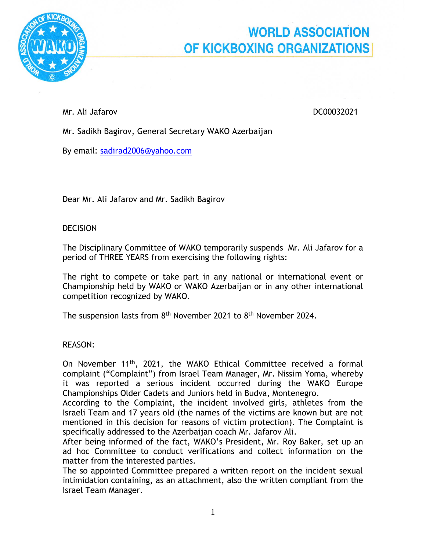

## **WORLD ASSOCIATION** OF KICKBOXING ORGANIZATIONS

Mr. Ali Jafarov DC00032021

Mr. Sadikh Bagirov, General Secretary WAKO Azerbaijan

By email: [sadirad2006@yahoo.com](mailto:sadirad2006@yahoo.com)

Dear Mr. Ali Jafarov and Mr. Sadikh Bagirov

## DECISION

The Disciplinary Committee of WAKO temporarily suspends Mr. Ali Jafarov for a period of THREE YEARS from exercising the following rights:

The right to compete or take part in any national or international event or Championship held by WAKO or WAKO Azerbaijan or in any other international competition recognized by WAKO.

The suspension lasts from 8<sup>th</sup> November 2021 to 8<sup>th</sup> November 2024.

REASON:

On November 11<sup>th</sup>, 2021, the WAKO Ethical Committee received a formal complaint ("Complaint") from Israel Team Manager, Mr. Nissim Yoma, whereby it was reported a serious incident occurred during the WAKO Europe Championships Older Cadets and Juniors held in Budva, Montenegro.

According to the Complaint, the incident involved girls, athletes from the Israeli Team and 17 years old (the names of the victims are known but are not mentioned in this decision for reasons of victim protection). The Complaint is specifically addressed to the Azerbaijan coach Mr. Jafarov Ali.

After being informed of the fact, WAKO's President, Mr. Roy Baker, set up an ad hoc Committee to conduct verifications and collect information on the matter from the interested parties.

The so appointed Committee prepared a written report on the incident sexual intimidation containing, as an attachment, also the written compliant from the Israel Team Manager.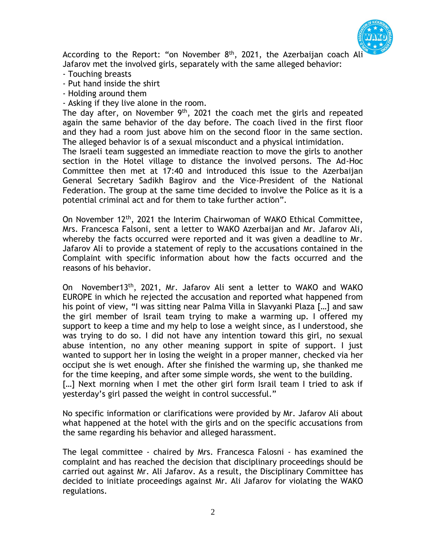

According to the Report: "on November 8<sup>th</sup>, 2021, the Azerbaijan coach Ali Jafarov met the involved girls, separately with the same alleged behavior:

- Touching breasts
- Put hand inside the shirt
- Holding around them
- Asking if they live alone in the room.

The day after, on November  $9<sup>th</sup>$ , 2021 the coach met the girls and repeated again the same behavior of the day before. The coach lived in the first floor and they had a room just above him on the second floor in the same section. The alleged behavior is of a sexual misconduct and a physical intimidation.

The Israeli team suggested an immediate reaction to move the girls to another section in the Hotel village to distance the involved persons. The Ad-Hoc Committee then met at 17:40 and introduced this issue to the Azerbaijan General Secretary Sadikh Bagirov and the Vice-President of the National Federation. The group at the same time decided to involve the Police as it is a potential criminal act and for them to take further action".

On November 12th, 2021 the Interim Chairwoman of WAKO Ethical Committee, Mrs. Francesca Falsoni, sent a letter to WAKO Azerbaijan and Mr. Jafarov Ali, whereby the facts occurred were reported and it was given a deadline to Mr. Jafarov Ali to provide a statement of reply to the accusations contained in the Complaint with specific information about how the facts occurred and the reasons of his behavior.

On November13th, 2021, Mr. Jafarov Ali sent a letter to WAKO and WAKO EUROPE in which he rejected the accusation and reported what happened from his point of view, "I was sitting near Palma Villa in Slavyanki Plaza […] and saw the girl member of Israil team trying to make a warming up. I offered my support to keep a time and my help to lose a weight since, as I understood, she was trying to do so. I did not have any intention toward this girl, no sexual abuse intention, no any other meaning support in spite of support. I just wanted to support her in losing the weight in a proper manner, checked via her occiput she is wet enough. After she finished the warming up, she thanked me for the time keeping, and after some simple words, she went to the building. [...] Next morning when I met the other girl form Israil team I tried to ask if yesterday's girl passed the weight in control successful."

No specific information or clarifications were provided by Mr. Jafarov Ali about what happened at the hotel with the girls and on the specific accusations from the same regarding his behavior and alleged harassment.

The legal committee - chaired by Mrs. Francesca Falosni - has examined the complaint and has reached the decision that disciplinary proceedings should be carried out against Mr. Ali Jafarov. As a result, the Disciplinary Committee has decided to initiate proceedings against Mr. Ali Jafarov for violating the WAKO regulations.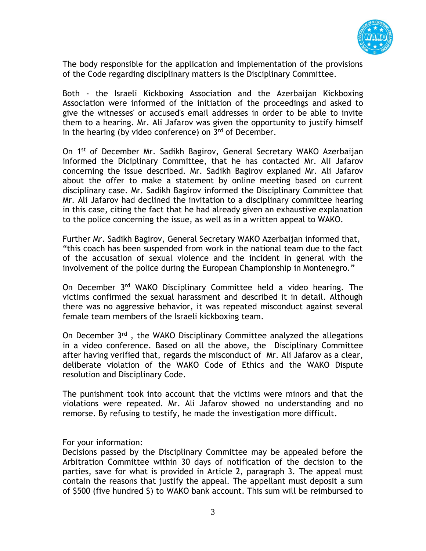

The body responsible for the application and implementation of the provisions of the Code regarding disciplinary matters is the Disciplinary Committee.

Both - the Israeli Kickboxing Association and the Azerbaijan Kickboxing Association were informed of the initiation of the proceedings and asked to give the witnesses' or accused's email addresses in order to be able to invite them to a hearing. Mr. Ali Jafarov was given the opportunity to justify himself in the hearing (by video conference) on  $3<sup>rd</sup>$  of December.

On 1st of December Mr. Sadikh Bagirov, General Secretary WAKO Azerbaijan informed the Diciplinary Committee, that he has contacted Mr. Ali Jafarov concerning the issue described. Mr. Sadikh Bagirov explaned Mr. Ali Jafarov about the offer to make a statement by online meeting based on current disciplinary case. Mr. Sadikh Bagirov informed the Disciplinary Committee that Mr. Ali Jafarov had declined the invitation to a disciplinary committee hearing in this case, citing the fact that he had already given an exhaustive explanation to the police concerning the issue, as well as in a written appeal to WAKO.

Further Mr. Sadikh Bagirov, General Secretary WAKO Azerbaijan informed that, "this coach has been suspended from work in the national team due to the fact of the accusation of sexual violence and the incident in general with the involvement of the police during the European Championship in Montenegro."

On December 3rd WAKO Disciplinary Committee held a video hearing. The victims confirmed the sexual harassment and described it in detail. Although there was no aggressive behavior, it was repeated misconduct against several female team members of the Israeli kickboxing team.

On December 3<sup>rd</sup>, the WAKO Disciplinary Committee analyzed the allegations in a video conference. Based on all the above, the Disciplinary Committee after having verified that, regards the misconduct of Mr. Ali Jafarov as a clear, deliberate violation of the WAKO Code of Ethics and the WAKO Dispute resolution and Disciplinary Code.

The punishment took into account that the victims were minors and that the violations were repeated. Mr. Ali Jafarov showed no understanding and no remorse. By refusing to testify, he made the investigation more difficult.

For your information:

Decisions passed by the Disciplinary Committee may be appealed before the Arbitration Committee within 30 days of notification of the decision to the parties, save for what is provided in Article 2, paragraph 3. The appeal must contain the reasons that justify the appeal. The appellant must deposit a sum of \$500 (five hundred \$) to WAKO bank account. This sum will be reimbursed to